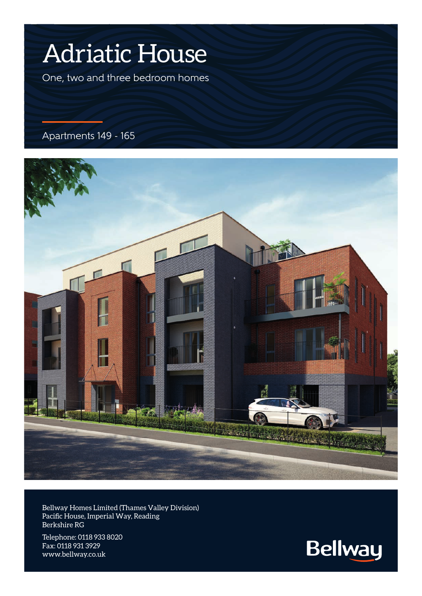# Adriatic House

One, two and three bedroom homes

## Apartments 149 - 165



Bellway Homes Limited (Thames Valley Division) Pacific House, Imperial Way, Reading Berkshire RG

Telephone: 0118 933 8020 Fax: 0118 931 3929 www.bellway.co.uk

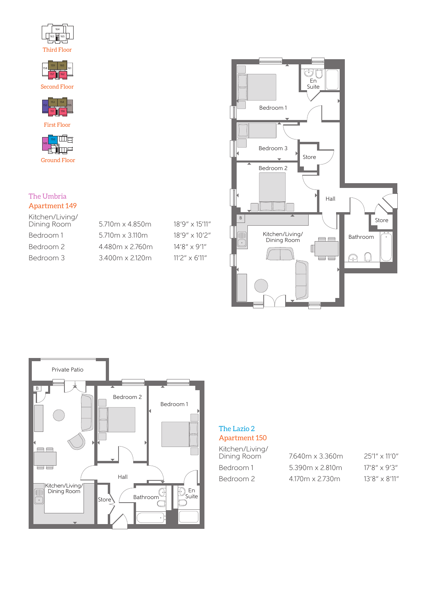

Third Floor



Second Floor





#### The Umbria Apartment 149

| Kitchen/Living/<br>Dining Room | $5.710m \times 4.850m$ | 18'9" x 15'11"         |
|--------------------------------|------------------------|------------------------|
| Bedroom 1                      | $5.710m \times 3.110m$ | $18'9'' \times 10'2''$ |
| Bedroom 2                      | $4.480m \times 2.760m$ | $14'8'' \times 9'1''$  |
| Bedroom 3                      | $3.400m \times 2120m$  | $11'2'' \times 6'11''$ |
|                                |                        |                        |





## The Lazio 2

### Apartment 150

| Kitchen/Living/<br>Dining Room | $7.640m \times 3.360m$ | $25'1'' \times 11'0''$ |
|--------------------------------|------------------------|------------------------|
| Bedroom 1                      | $5.390m \times 2.810m$ | $17'8'' \times 9'3''$  |
| Bedroom 2                      | $4.170m \times 2.730m$ | $13'8'' \times 8'11''$ |

 $\frac{1}{2} \left( \frac{1}{2} \right)$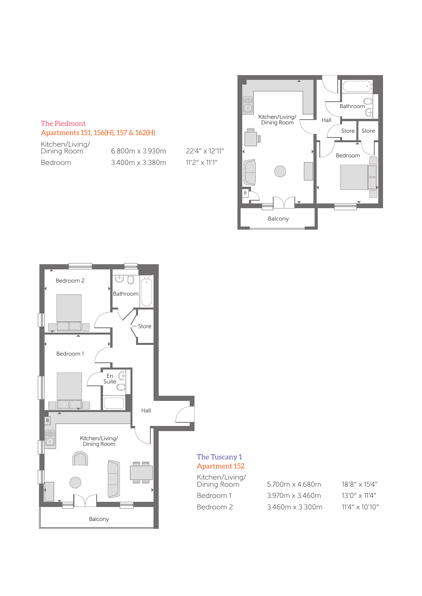#### The Piedmont Apartments 151, 156(H), 157 & 162(H)

Kitchen/Living/ Dining Room 6.800m x 3.930m 22'4" x 12'11" Bedroom 3.400m x 3.380m 11'2" x 11'1"



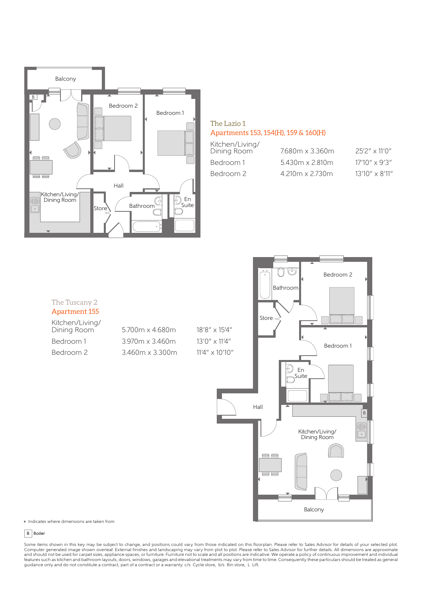

#### The Lazio 1 Apartments 153, 154(H), 159 & 160(H)

| Kitchen/Living/<br>Dining Room | $7.680m \times 3.360m$ | $25'2'' \times 11'0''$  |
|--------------------------------|------------------------|-------------------------|
| Bedroom 1                      | $5.430m \times 2.810m$ | $17'10'' \times 9'3''$  |
| Bedroom 2                      | $4.210m \times 2.730m$ | $13'10'' \times 8'11''$ |



 $\blacktriangleright$  Indicates where dimensions are taken from

B Boiler

Some items shown in this key may be subject to change, and positions could vary from those indicated on this floorplan. Please refer to Sales Advisor for details of your selected plot.<br>Computer generated image shown overle features such as kitchen and bathroom layouts, doors, windows, garages and elevational treatments may vary from time to time. Consequently these particulars should be treated as general<br>guidance only and do not constitute to Sales or further details<br>... Type B2-FT-03a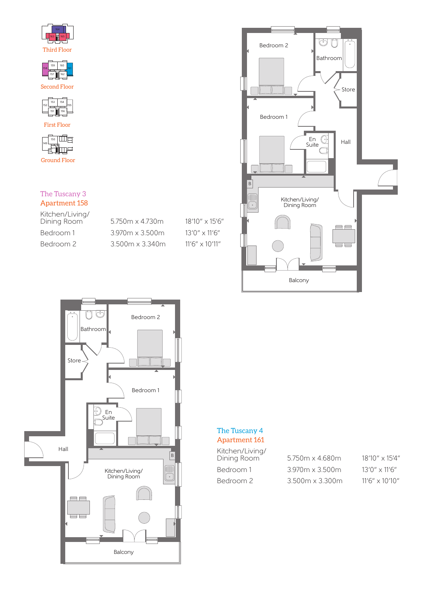

Third Floor



Second Floor



First Floor



The Tuscany 3 Apartment 158

Kitchen/Living/

Dining Room 5.750m x 4.730m 18'10" x 15'6" Bedroom 1 3.970m x 3.500m 13'0" x 11'6" Bedroom 2 3.500m x 3.340m 11'6" x 10'11"





#### The Tuscany 4 Apartment 161

Kitchen/Living/

Dining Room 5.750m x 4.680m 18'10" x 15'4" Bedroom 1 3.970m x 3.500m 13'0" x 11'6" Bedroom 2 3.500m x 3.300m 11'6" x 10'10"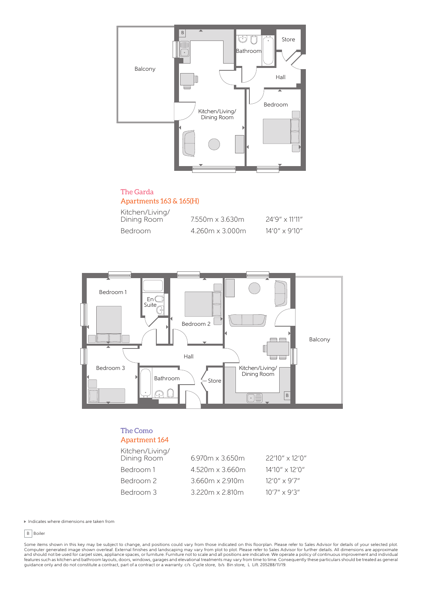

#### The Garda Apartments 163 & 165(H)

| Kitchen/Living/<br>Dining Room | $7.550m \times 3.630m$ | 24'9" x 11'11"         |
|--------------------------------|------------------------|------------------------|
| Bedroom                        | $4.260m \times 3.000m$ | $14'0'' \times 9'10''$ |



#### The Como Apartment 164  $K$ itchen/Living/

| Kitchen/Living/<br>Dining Room | 6.970m x 3.650m        | $22'10'' \times 12'0''$ |
|--------------------------------|------------------------|-------------------------|
| Bedroom 1                      | 4.520m x 3.660m        | $14'10'' \times 12'0''$ |
| Bedroom 2                      | $3.660m \times 2.910m$ | $12'0'' \times 9'7''$   |
| Bedroom 3                      | $3.220m \times 2.810m$ | $10'7'' \times 9'3''$   |

ns are taken from Indicates where dimensions are taken from<br>

B Boiler

Some items shown in this key may be subject to change, and positions could vary from those indicated on this floorplan. Please refer to Sales Advisor for details of your selected plot.<br>Computer generated image shown overle